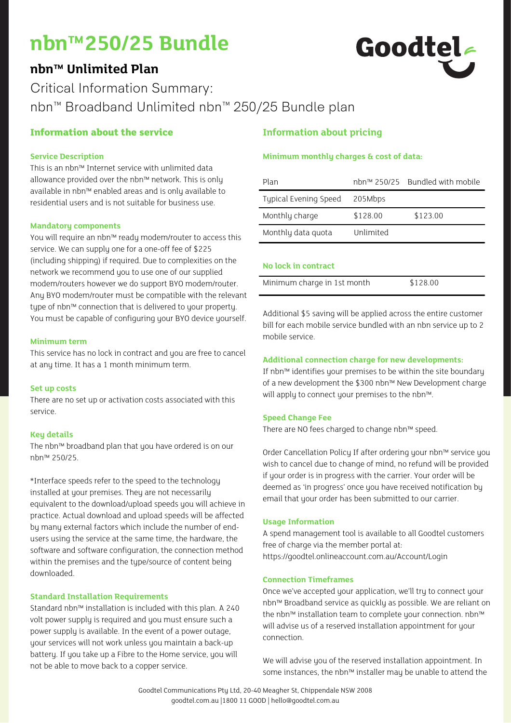# **nbn™250/25 Bundle**

# **nbn™ Unlimited Plan**



Critical Information Summary: nbn™ Broadband Unlimited nbn™ 250/25 Bundle plan

### **Information about the service**

#### **Service Description**

This is an nbn™ Internet service with unlimited data allowance provided over the nbn™ network. This is only available in nbn™ enabled areas and is only available to residential users and is not suitable for business use.

#### **Mandatory components**

You will require an nbn™ ready modem/router to access this service. We can supply one for a one-off fee of \$225 (including shipping) if required. Due to complexities on the network we recommend you to use one of our supplied modem/routers however we do support BYO modem/router. Any BYO modem/router must be compatible with the relevant type of nbn™ connection that is delivered to your property. You must be capable of configuring your BYO device yourself.

#### **Minimum term**

This service has no lock in contract and you are free to cancel at any time. It has a 1 month minimum term.

#### **Set up costs**

There are no set up or activation costs associated with this service.

#### **Key details**

The nbn™ broadband plan that you have ordered is on our nbn™ 250/25.

\*Interface speeds refer to the speed to the technology installed at your premises. They are not necessarily equivalent to the download/upload speeds you will achieve in practice. Actual download and upload speeds will be affected by many external factors which include the number of endusers using the service at the same time, the hardware, the software and software configuration, the connection method within the premises and the type/source of content being downloaded.

#### **Standard Installation Requirements**

Standard nbn™ installation is included with this plan. A 240 volt power supply is required and you must ensure such a power supply is available. In the event of a power outage, your services will not work unless you maintain a back-up battery. If you take up a Fibre to the Home service, you will not be able to move back to a copper service.

## **Information about pricing**

#### **Minimum monthly charges & cost of data:**

| Plan                  |           | nbn™ 250/25 Bundled with mobile |
|-----------------------|-----------|---------------------------------|
| Typical Evening Speed | 205Mbps   |                                 |
| Monthly charge        | \$128.00  | \$123.00                        |
| Monthly data quota    | Unlimited |                                 |

#### **No lock in contract**

| Minimum charge in 1st month | \$128.00 |
|-----------------------------|----------|

Additional \$5 saving will be applied across the entire customer bill for each mobile service bundled with an nbn service up to 2 mobile service.

#### **Additional connection charge for new developments:**

If nbn™ identifies your premises to be within the site boundary of a new development the \$300 nbn™ New Development charge will apply to connect your premises to the nbn™.

#### **Speed Change Fee**

There are NO fees charged to change nbn™ speed.

Order Cancellation Policy If after ordering your nbn™ service you wish to cancel due to change of mind, no refund will be provided if your order is in progress with the carrier. Your order will be deemed as 'in progress' once you have received notification by email that your order has been submitted to our carrier.

#### **Usage Information**

A spend management tool is available to all Goodtel customers free of charge via the member portal at: https://goodtel.onlineaccount.com.au/Account/Login

#### **Connection Timeframes**

Once we've accepted your application, we'll try to connect your nbn™ Broadband service as quickly as possible. We are reliant on the nbn™ installation team to complete your connection. nbn™ will advise us of a reserved installation appointment for your connection.

We will advise you of the reserved installation appointment. In some instances, the nbn™ installer may be unable to attend the